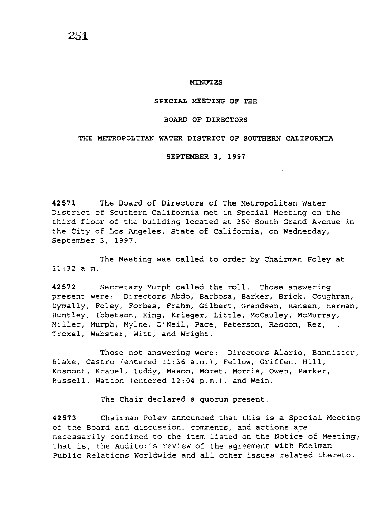#### MINUTES

#### SPECIAL MEETING OF THE

#### BOARD OF DIRECTORS

#### THE METROPOLITAN WATER DISTRICT OF SOUTHERN CALIFORNIA

SEPTEMBER 3, 1997

42571 The Board of Directors of The Metropolitan Water District of Southern California met in Special Meeting on the third floor of the building located at 350 South Grand Avenue in the City of Los Angeles, State of California, on Wednesday, September 3, 1997.

The Meeting was called to order by Chairman Foley at 11:32 a.m.

42572 Secretary Murph called the roll. Those answering present were: Directors Abdo, Barbosa, Barker, Brick, Coughran, Dymally, Foley, Forbes, Frahm, Gilbert, Grandsen, Hansen, Herman, Huntley, Ibbetson, King, Krieger, Little, McCauley, McMurray, Miller, Murph, Mylne, O'Neil, Pace, Peterson, Rascon, Rez, Troxel, Webster, Witt, and Wright.

Those not answering were: Directors Alario, Bannister, Blake, Castro (entered 11:36 a.m.), Fellow, Griffen, Hill, Kosmont, Krauel, Luddy, Mason, Moret, Morris, Owen, Parker, Russell, Watton (entered 12:04 p.m.), and Wein.

The Chair declared a quorum present.

42573 Chairman Foley announced that this is a Special Meeting of the Board and discussion, comments, and actions are necessarily confined to the item listed on the Notice of Meeting; that is, the Auditor's review of the agreement with Edelman Public Relations Worldwide and all other issues related thereto.

251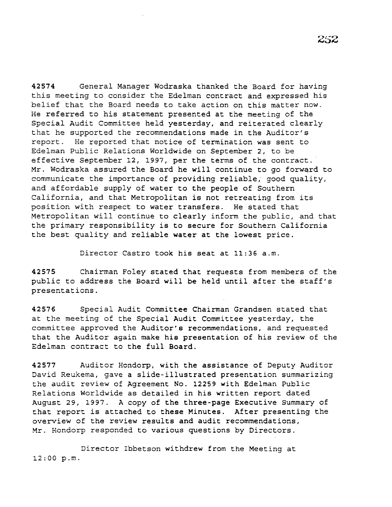42574 General Manager Wodraska thanked the Board for having this meeting to consider the Edelman contract and expressed his belief that the Board needs to take action on this matter now. He referred to his statement presented at the meeting of the Special Audit Committee held yesterday, and reiterated clearly that he supported the recommendations made in the Auditor's report. He reported that notice of termination was sent to Edelman Public Relations Worldwide on September 2, to be effective September 12, 1997, per the terms of the contract. Mr. Wodraska assured the Board he will continue to go forward to communicate the importance of providing reliable; good quality, and affordable supply of water to the people of Southern California, and that Metropolitan is not retreating from its position with respect to water transfers. He stated that Metropolitan will continue to clearly inform the public, and that the primary responsibility is to secure for Southern California the best quality and reliable water at the lowest price.

Director Castro took his seat at 11:36 a.m.

42575 Chairman Foley stated that requests from members of the public to address the Board will be held until after the staff's presentations.

42576 Special Audit Committee Chairman Grandsen stated that at the meeting of the Special Audit Committee yesterday, the committee approved the Auditor's recommendations, and requested that the Auditor again make his presentation of his review of the Edelman contract to the full Board.

42577 Auditor Hondorp, with the assistance of Deputy Auditor David Reukema, gave a slide-illustrated presentation summarizing the audit review of Agreement No. 12259 with Edelman Public Relations Worldwide as detailed in his written report dated August 29, 1997. A copy of the three-page Executive Summary of that report *is* attached to these Minutes. After presenting the overview of the review results and audit recommendations, Mr. Hondorp responded to various questions by Directors.

Director Ibbetson withdrew from the Meeting at 12:00 p.m.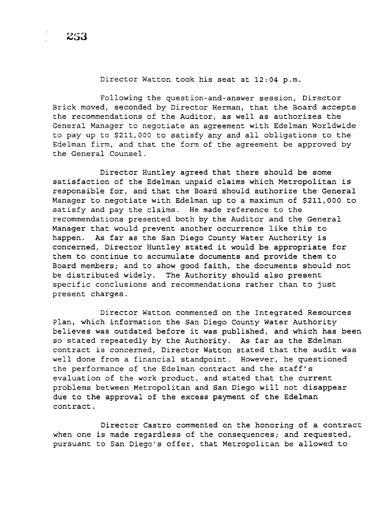Director Watton took his seat at 12:04 p.m.

Following the question-and-answer session, Director Brick moved, seconded by Director Herman, that the Board accepts the recommendations of the Auditor, as well as authorizes the General Manager to negotiate an agreement with Edelman Worldwide to pay up to \$211,000 to satisfy any and all obligations to the Edelman firm, and that the form of the agreement be approved by the General Counsel.

Director Huntley agreed that there should be some satisfaction of the Edelman unpaid claims which Metropolitan is responsible for, and that the Board should authorize the General Manager to negotiate with Edelman up to a maximum of \$211,000 to satisfy and pay the claims. He made reference to the recommendations presented both by the Auditor and the General Manager that would prevent another occurrence like this to happen. As far as the San Diego County Water Authority is concerned, Director Huntley stated it would be appropriate for them to continue to accumulate documents and provide them to Board members; and to show good faith, the documents should not be distributed widely. The Authority should also present specific conclusions and recommendations rather than to just present charges.

Director Watton commented on the Integrated Resources Plan, which information the San Diego County Water Authority believes was outdated before it was published, and which has been so stated repeatedly by the Authority. As far as the Edelman contract is concerned, Director Watton stated that the audit was well done from a financial standpoint. However, he questioned the performance of the Edelman contract and the staff's evaluation of the work product, and stated that the current problems between Metropolitan and San Diego will not disappear due to the approval of the excess payment of the Edelman contract.

Director Castro commented on the honoring of a contract when one is made regardless of the consequences; and requested, pursuant to San Diego's offer, that Metropolitan be allowed to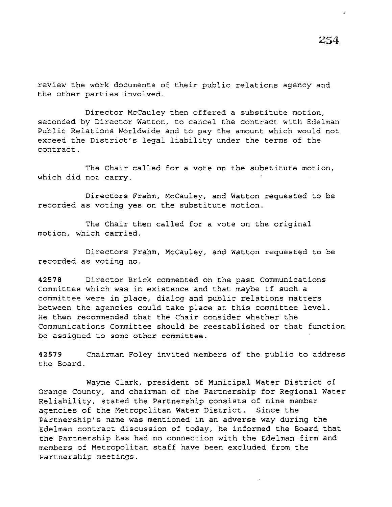review the work documents of their public relations agency and the other parties involved.

Director McCauley then offered a substitute motion, seconded by Director Watton, to cancel the contract with Edelman Public Relations Worldwide and to pay the amount which would not exceed the District's legal liability under the terms of the contract.

The Chair called for a vote on the substitute motion, which did not carry.

Directors Frahm, McCauley, and Watton requested to be recorded as voting yes on the substitute motion.

The Chair then called for a vote on the original motion, which carried.

Directors Frahm, McCauley, and Watton requested to be recorded as voting no.

**42578** Director Brick commented on the past Communications Committee which was in existence and that maybe if such a committee were in place, dialog and public relations matters between the agencies could take place at this committee level. He then recommended that the Chair consider whether the Communications Committee should be reestablished or that function be assigned to some other committee.

**42579** Chairman Foley invited members of the public to address the Board.

Wayne Clark, president of Municipal Water District of Orange County, and chairman of the Partnership for Regional Water Reliability, stated the Partnership consists of nine member agencies of the Metropolitan Water District. Since the Partnership's name was mentioned *in* an adverse way during the Edelman contract discussion of today, he informed the Board that the Partnership has had no connection with the Edelman firm and members of Metropolitan staff have been excluded from the Partnership meetings.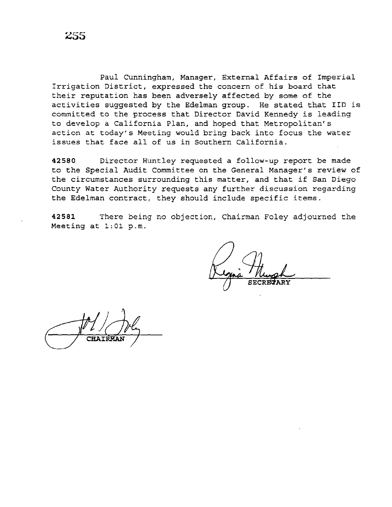Paul Cunningham, Manager, External Affairs of Imperial Irrigation District, expressed the concern of *his* board that their reputation has been adversely affected by some of the activities suggested by the Edelman group. He stated that IID is committed to the process that Director David Kennedy is leading to develop a California Plan, and hoped that Metropolitan's action at today's Meeting would bring back into focus the water issues that face all of us in Southern California.

**42580** Director Huntley requested a follow-up report be made to the Special Audit Committee on the General Manager's review of the circumstances surrounding this matter, and that if San Diego County Water Authority requests any further discussion regarding the Edelman contract, they should include specific items.

**42581** There being no objection, Chairman Foley adjourned the Meeting at 1:01 p.m.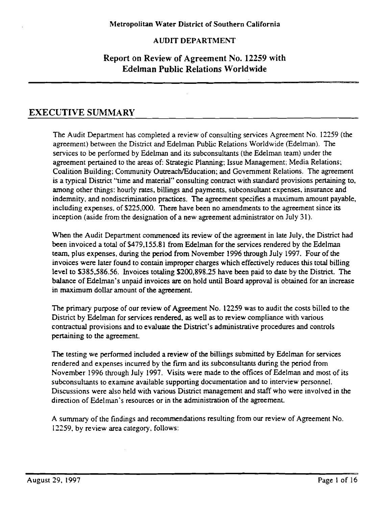## AUDIT DEPARTMENT

# Report on Review of Agreement No. 12259 with Edelman Public Relations Worldwide

# EXECUTIVE SUMMARY

The Audit Department has completed a review of consulting services Agreement No. 12259 (the agreement) between the District and Edelman Public Relations Worldwide (Edelman). The services to be performed by Edelman and its subconsultants (the Edelman team) under the agreement pertained to the areas of: Strategic Planning; Issue Management; Media Relations; Coalition Building; Community Outreach/Education; and Government Relations. The agreement is a typical District "time and material" consulting contract with standard provisions pertaining to, among other things: hourly rates, billings and payments, subconsultant expenses, insurance and indemnity. and nondiscrimination practices. The agreement specifies a maximum amount payable, including expenses, of \$225,000. There have been no amendments to the agreement since its inception (aside from the designation of a new agreement administrator on July 31 ).

When the Audit Department commenced its review of the agreement in late July, the District had been invoiced a total of \$479,155.81 from Edelman forthe services rendered by the Edelman team, plus expenses, during the period from November 1996 through July 1997. Four of the invoices were later found to contain improper charges which effectively reduces this total billing level to \$385,586.56. Invoices totaling \$200,898.25 have been paid to date by the District. The balance of Edelman's unpaid invoices are on hold until Board approval is obtained for an increase in maximum dollar amount of the agreement.

The primary purpose of our review of Agreement No. 12259 was to audit the costs billed to the District by Edelman for services rendered. as well as to review compliance with various contractual provisions and to evaluate the District's administrative procedures and controls pertaining to the agreement.

The testing we performed included a review of the billings submitted by Edelman for services rendered and expenses incurred by the firm and its subconsultants during the period from November 1996 through July 1997. Visits were made to the offices of Edelman and most of its subconsultants to examine available supporting documentation and to interview personnel. Discussions were also held with various District management and staff who were involved in the direction of Edelman's resources or in the administration of the agreement.

A summary of the findings and recommendations resulting from our review of Agreement No. !2259. by review area category. follows: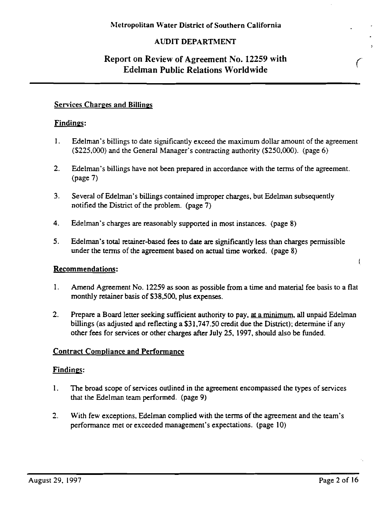## AUDIT DEPARTMENT

# Report on Review of Agreement No. 12259 with Edelman Public Relations Worldwide

### Services Charges and Billings

### Findings:

- I. Edelman's billings to date significantly exceed the maximum dollar amount of the agreement (\$225,000) and the General Manager's contracting authority (\$250,000). (page 6)
- 2. Edelman's billings have not been prepared in accordance with the terms of the agreement. (page 7)
- 3. Several of Edelman's billings contained improper charges, but Edelman subsequently notified the District of the problem. (page 7)
- 4. Edelman's charges are reasonably supported in most instances. (page 8)
- 5. Edelman's total retainer-based fees to date are significantly less than charges permissible under the terms of the agreement based on actual time worked. (page 8)

### Recommendations:

- I. Amend Agreement No. I2259 as soon as possible from a time and material fee basis to a flat monthly retainer basis of \$38,500, plus expenses.
- 2. Prepare a Board letter seeking sufficient authority to pay, at a minimum, all unpaid Edelman billings (as adjusted and reflecting a \$3I,747.50 credit due the District); determine if any other fees for services or other charges after July 25, 1997, should also be funded.

### Contract Compliance and Performance

### Findings:

- I. The broad scope of services outlined in the agreement encompassed the types of services that the Edelman team performed. (page 9)
- 2. With few exceptions, Edelman complied with the terms of the agreement and the team's performance met or exceeded management's expectations. (page IO)

(

 $\mathfrak{f}$